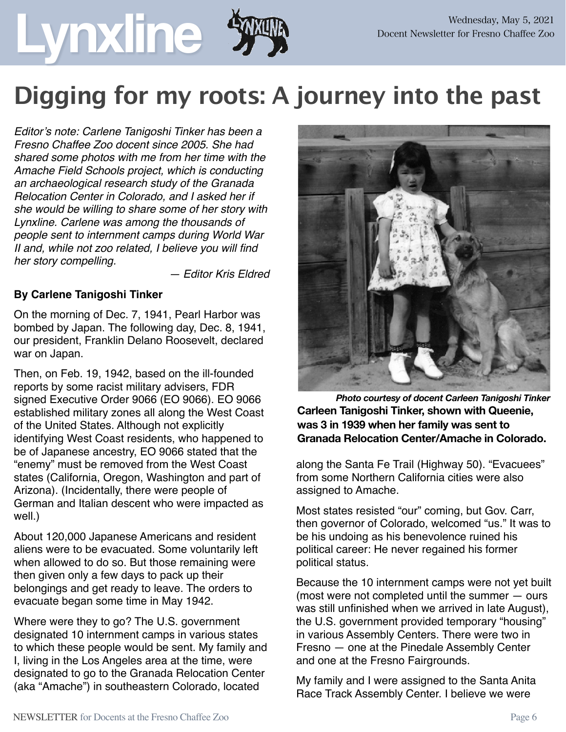## **Digging for my roots: A journey into the past**

*Editor's note: Carlene Tanigoshi Tinker has been a Fresno Chaffee Zoo docent since 2005. She had shared some photos with me from her time with the Amache Field Schools project, which is conducting an archaeological research study of the Granada Relocation Center in Colorado, and I asked her if she would be willing to share some of her story with Lynxline. Carlene was among the thousands of people sent to internment camps during World War II and, while not zoo related, I believe you will find her story compelling.* 

*— Editor Kris Eldred*

#### **By Carlene Tanigoshi Tinker**

On the morning of Dec. 7, 1941, Pearl Harbor was bombed by Japan. The following day, Dec. 8, 1941, our president, Franklin Delano Roosevelt, declared war on Japan.

Then, on Feb. 19, 1942, based on the ill-founded reports by some racist military advisers, FDR signed Executive Order 9066 (EO 9066). EO 9066 established military zones all along the West Coast of the United States. Although not explicitly identifying West Coast residents, who happened to be of Japanese ancestry, EO 9066 stated that the "enemy" must be removed from the West Coast states (California, Oregon, Washington and part of Arizona). (Incidentally, there were people of German and Italian descent who were impacted as well.)

About 120,000 Japanese Americans and resident aliens were to be evacuated. Some voluntarily left when allowed to do so. But those remaining were then given only a few days to pack up their belongings and get ready to leave. The orders to evacuate began some time in May 1942.

Where were they to go? The U.S. government designated 10 internment camps in various states to which these people would be sent. My family and I, living in the Los Angeles area at the time, were designated to go to the Granada Relocation Center (aka "Amache") in southeastern Colorado, located



*Photo courtesy of docent Carleen Tanigoshi Tinker*  **Carleen Tanigoshi Tinker, shown with Queenie, was 3 in 1939 when her family was sent to Granada Relocation Center/Amache in Colorado.**

along the Santa Fe Trail (Highway 50). "Evacuees" from some Northern California cities were also assigned to Amache.

Most states resisted "our" coming, but Gov. Carr, then governor of Colorado, welcomed "us." It was to be his undoing as his benevolence ruined his political career: He never regained his former political status.

Because the 10 internment camps were not yet built (most were not completed until the summer — ours was still unfinished when we arrived in late August), the U.S. government provided temporary "housing" in various Assembly Centers. There were two in Fresno — one at the Pinedale Assembly Center and one at the Fresno Fairgrounds.

My family and I were assigned to the Santa Anita Race Track Assembly Center. I believe we were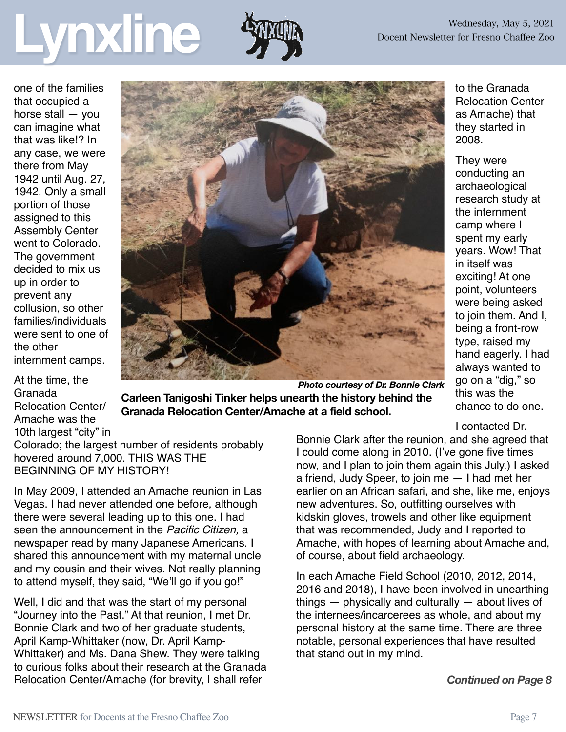## Wednesday, May 5, 2021<br>Docent Newsletter for Fresno Chaffee Zoo



2008.

They were conducting an archaeological research study at the internment camp where I spent my early years. Wow! That

in itself was exciting! At one point, volunteers were being asked to join them. And I, being a front-row type, raised my hand eagerly. I had always wanted to go on a "dig," so this was the

to the Granada Relocation Center as Amache) that they started in

one of the families that occupied a horse stall — you can imagine what that was like!? In any case, we were there from May 1942 until Aug. 27, 1942. Only a small portion of those assigned to this Assembly Center went to Colorado. The government decided to mix us up in order to prevent any collusion, so other families/individuals were sent to one of the other internment camps.

At the time, the Granada Relocation Center/ Amache was the 10th largest "city" in



*Photo courtesy of Dr. Bonnie Clark*  **Carleen Tanigoshi Tinker helps unearth the history behind the Granada Relocation Center/Amache at a field school.**

Colorado; the largest number of residents probably hovered around 7,000. THIS WAS THE BEGINNING OF MY HISTORY!

In May 2009, I attended an Amache reunion in Las Vegas. I had never attended one before, although there were several leading up to this one. I had seen the announcement in the *Pacific Citizen,* a newspaper read by many Japanese Americans. I shared this announcement with my maternal uncle and my cousin and their wives. Not really planning to attend myself, they said, "We'll go if you go!"

Well, I did and that was the start of my personal "Journey into the Past." At that reunion, I met Dr. Bonnie Clark and two of her graduate students, April Kamp-Whittaker (now, Dr. April Kamp-Whittaker) and Ms. Dana Shew. They were talking to curious folks about their research at the Granada Relocation Center/Amache (for brevity, I shall refer

chance to do one. I contacted Dr.

Bonnie Clark after the reunion, and she agreed that I could come along in 2010. (I've gone five times now, and I plan to join them again this July.) I asked a friend, Judy Speer, to join me — I had met her earlier on an African safari, and she, like me, enjoys new adventures. So, outfitting ourselves with kidskin gloves, trowels and other like equipment that was recommended, Judy and I reported to Amache, with hopes of learning about Amache and, of course, about field archaeology.

In each Amache Field School (2010, 2012, 2014, 2016 and 2018), I have been involved in unearthing things — physically and culturally — about lives of the internees/incarcerees as whole, and about my personal history at the same time. There are three notable, personal experiences that have resulted that stand out in my mind.

*Continued on Page 8*